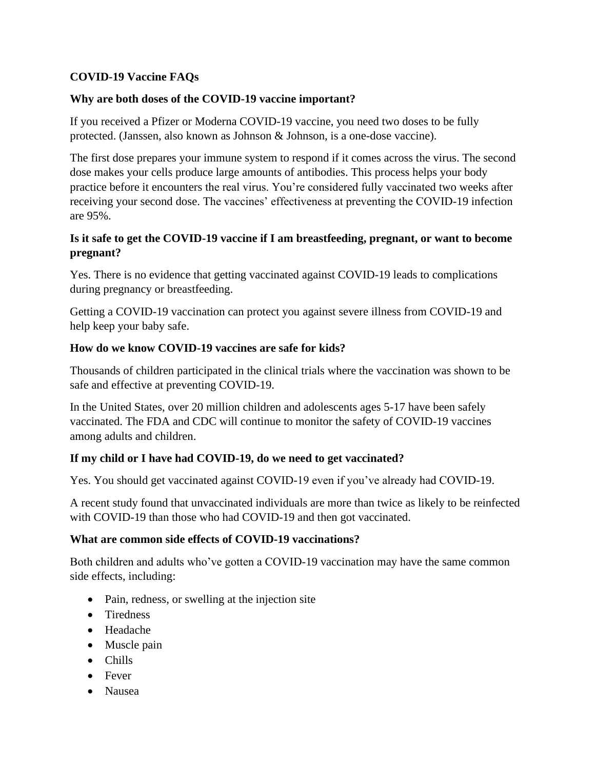# **COVID-19 Vaccine FAQs**

#### **Why are both doses of the COVID-19 vaccine important?**

If you received a Pfizer or Moderna COVID-19 vaccine, you need two doses to be fully protected. (Janssen, also known as Johnson & Johnson, is a one-dose vaccine).

The first dose prepares your immune system to respond if it comes across the virus. The second dose makes your cells produce large amounts of antibodies. This process helps your body practice before it encounters the real virus. You're considered fully vaccinated two weeks after receiving your second dose. The vaccines' effectiveness at preventing the COVID-19 infection are 95%.

### **Is it safe to get the COVID-19 vaccine if I am breastfeeding, pregnant, or want to become pregnant?**

Yes. There is no evidence that getting vaccinated against COVID-19 leads to complications during pregnancy or breastfeeding.

Getting a COVID-19 vaccination can protect you against severe illness from COVID-19 and help keep your baby safe.

#### **How do we know COVID-19 vaccines are safe for kids?**

Thousands of children participated in the clinical trials where the vaccination was shown to be safe and effective at preventing COVID-19.

In the United States, over 20 million children and adolescents ages 5-17 have been safely vaccinated. The FDA and CDC will continue to monitor the safety of COVID-19 vaccines among adults and children.

### **If my child or I have had COVID-19, do we need to get vaccinated?**

Yes. You should get vaccinated against COVID-19 even if you've already had COVID-19.

A recent study found that unvaccinated individuals are more than twice as likely to be reinfected with COVID-19 than those who had COVID-19 and then got vaccinated.

#### **What are common side effects of COVID-19 vaccinations?**

Both children and adults who've gotten a COVID-19 vaccination may have the same common side effects, including:

- Pain, redness, or swelling at the injection site
- Tiredness
- Headache
- Muscle pain
- Chills
- Fever
- Nausea